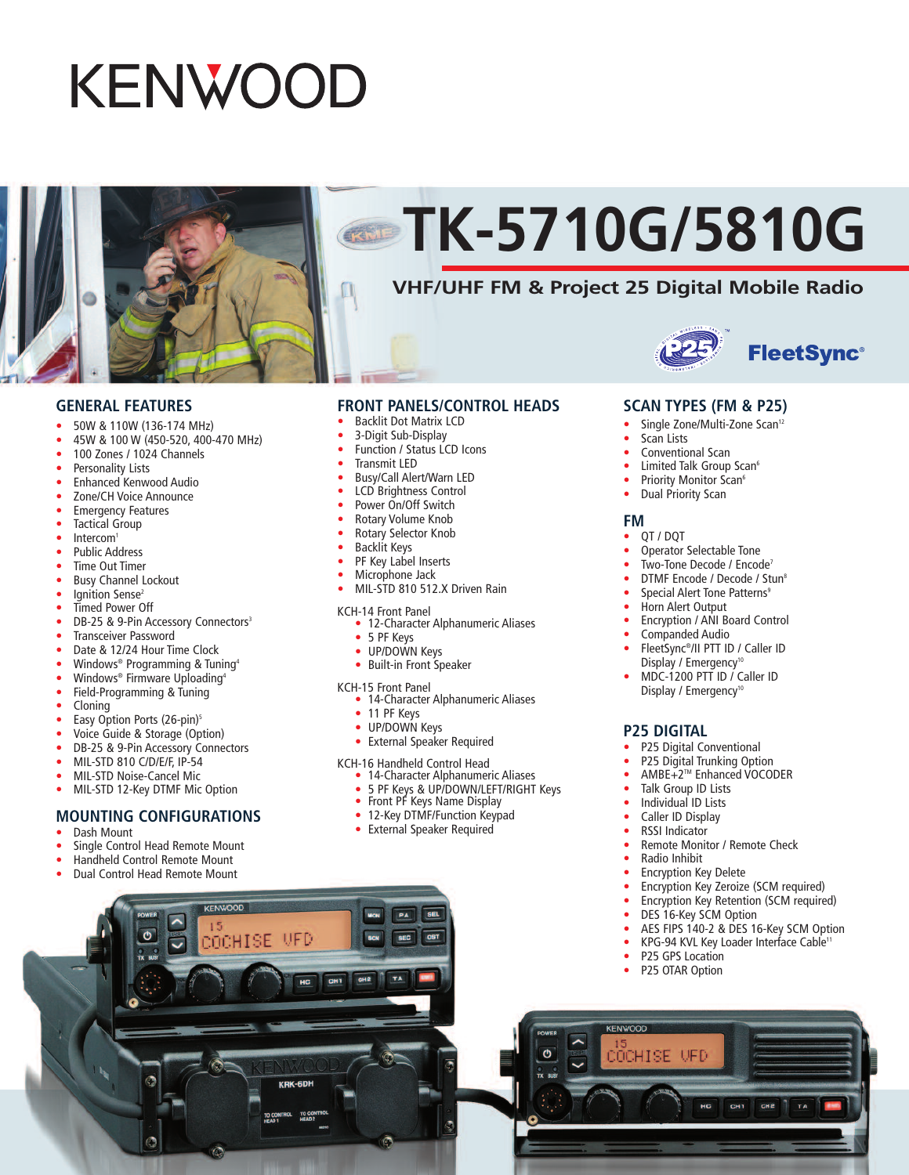# **KENWOOD**



# **TK-5710G/5810G**

### **VHF/UHF FM & Project 25 Digital Mobile Radio**





#### **GENERAL FEATURES**

- 50W & 110W (136-174 MHz)
- 45W & 100 W (450-520, 400-470 MHz)
- 100 Zones / 1024 Channels
- Personality Lists
- Enhanced Kenwood Audio
- Zone/CH Voice Announce
- **Emergency Features**
- **Tactical Group**
- Intercom<sup>1</sup>
- Public Address
- **Time Out Timer**
- Busy Channel Lockout
- Ignition Sense<sup>2</sup>
- Timed Power Off
- DB-25 & 9-Pin Accessory Connectors<sup>3</sup>
- Transceiver Password
- Date & 12/24 Hour Time Clock
- Windows® Programming & Tuning<sup>4</sup>
- Windows<sup>®</sup> Firmware Uploading<sup>4</sup>
- Field-Programming & Tuning
- Cloning
- Easy Option Ports (26-pin)<sup>5</sup>
- Voice Guide & Storage (Option)
- DB-25 & 9-Pin Accessory Connectors
- MIL-STD 810 C/D/E/F, IP-54
- MIL-STD Noise-Cancel Mic
- MIL-STD 12-Key DTMF Mic Option

### **MOUNTING CONFIGURATIONS**

- Dash Mount
- Single Control Head Remote Mount
- Handheld Control Remote Mount
- Dual Control Head Remote Mount

C

**KENWOOD** 

UFD

нc

 $15$ COCHISE

#### **FRONT PANELS/CONTROL HEADS**

- Backlit Dot Matrix LCD
- 3-Digit Sub-Display
- Function / Status LCD Icons
- Transmit LED
- Busy/Call Alert/Warn LED
- LCD Brightness Control
- Power On/Off Switch
- Rotary Volume Knob
- Rotary Selector Knob
- Backlit Keys
- PF Key Label Inserts
- Microphone Jack
- MIL-STD 810 512.X Driven Rain

- KCH-14 Front Panel 12-Character Alphanumeric Aliases
	- 5 PF Keys
	- UP/DOWN Keys
	- Built-in Front Speaker
- 
- KCH-15 Front Panel 14-Character Alphanumeric Aliases
	- 11 PF Keys
	- UP/DOWN Keys

**MON** 

CHI CHE

PA

 $T = TA$ 

• External Speaker Required

## KCH-16 Handheld Control Head • 14-Character Alphanumeric Aliases

- 
- 5 PF Keys & UP/DOWN/LEFT/RIGHT Keys<br>• Front PF Keys Name Display
- 
- 12-Key DTMF/Function Keypad
- External Speaker Required

#### **SCAN TYPES (FM & P25)**

- Single Zone/Multi-Zone Scan<sup>12</sup>
- Scan Lists
- Conventional Scan
- Limited Talk Group Scan<sup>6</sup>
- Priority Monitor Scan<sup>6</sup>
- Dual Priority Scan

#### **FM**

- QT / DQT
- Operator Selectable Tone
- Two-Tone Decode / Encode<sup>7</sup>
- DTMF Encode / Decode / Stun<sup>8</sup>
- Special Alert Tone Patterns<sup>9</sup>
- Horn Alert Output
- Encryption / ANI Board Control
- Companded Audio
- FleetSync®/II PTT ID / Caller ID Display / Emergency<sup>10</sup>
- MDC-1200 PTT ID / Caller ID Display / Emergency<sup>10</sup>

#### **P25 DIGITAL**

- P25 Digital Conventional
- P25 Digital Trunking Option
- AMBE+2TM Enhanced VOCODER
- Talk Group ID Lists
- Individual ID Lists
- Caller ID Display
- RSSI Indicator
- Remote Monitor / Remote Check
- Radio Inhibit

DES 16-Key SCM Option

**Encryption Key Delete** 

P25 GPS Location P25 OTAR Option

**KENWOOD** 

**COCHISE** 

- Encryption Key Zeroize (SCM required)
- Encryption Key Retention (SCM required)

• AES FIPS 140-2 & DES 16-Key SCM Option KPG-94 KVL Key Loader Interface Cable<sup>11</sup>

TA

CH<sub>2</sub>